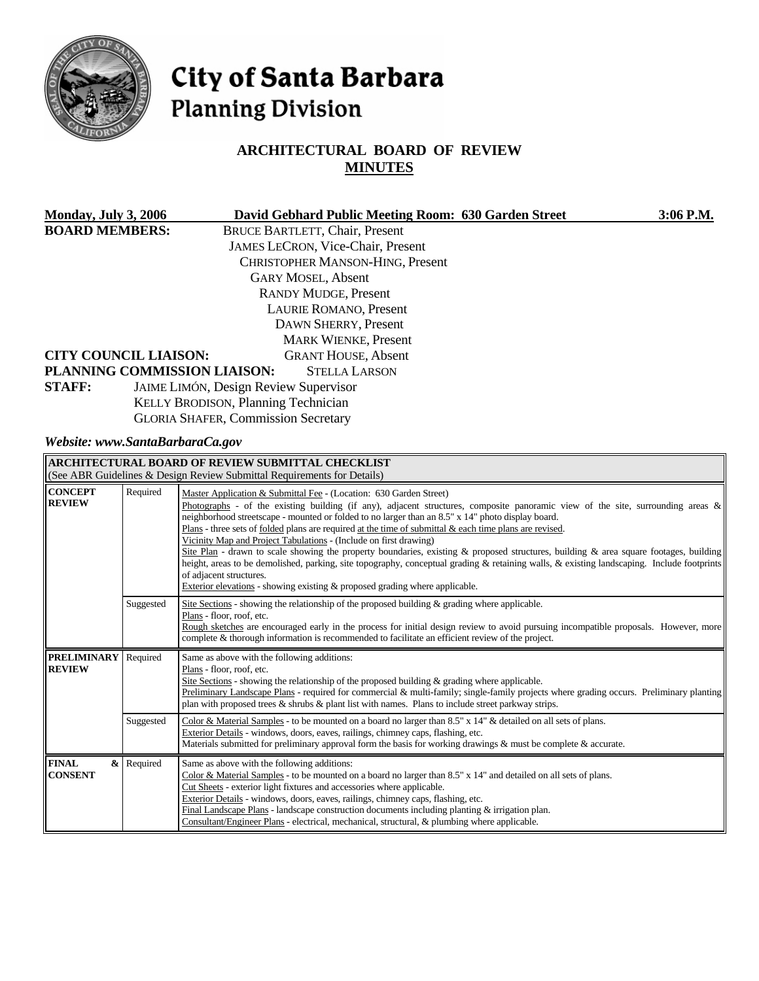

# City of Santa Barbara **Planning Division**

## **ARCHITECTURAL BOARD OF REVIEW MINUTES**

| <b>Monday, July 3, 2006</b> |                                            | David Gebhard Public Meeting Room: 630 Garden Street | 3:06 P.M. |
|-----------------------------|--------------------------------------------|------------------------------------------------------|-----------|
| <b>BOARD MEMBERS:</b>       |                                            | <b>BRUCE BARTLETT, Chair, Present</b>                |           |
|                             |                                            | <b>JAMES LECRON, Vice-Chair, Present</b>             |           |
|                             |                                            | CHRISTOPHER MANSON-HING, Present                     |           |
|                             |                                            | <b>GARY MOSEL, Absent</b>                            |           |
|                             |                                            | <b>RANDY MUDGE, Present</b>                          |           |
|                             |                                            | <b>LAURIE ROMANO, Present</b>                        |           |
|                             |                                            | DAWN SHERRY, Present                                 |           |
|                             |                                            | <b>MARK WIENKE, Present</b>                          |           |
|                             | <b>CITY COUNCIL LIAISON:</b>               | <b>GRANT HOUSE, Absent</b>                           |           |
|                             | PLANNING COMMISSION LIAISON:               | <b>STELLA LARSON</b>                                 |           |
| <b>STAFF:</b>               |                                            | <b>JAIME LIMÓN, Design Review Supervisor</b>         |           |
|                             | <b>KELLY BRODISON, Planning Technician</b> |                                                      |           |
|                             |                                            | <b>GLORIA SHAFER, Commission Secretary</b>           |           |

*Website: www.SantaBarbaraCa.gov* 

| <b>ARCHITECTURAL BOARD OF REVIEW SUBMITTAL CHECKLIST</b><br>(See ABR Guidelines & Design Review Submittal Requirements for Details) |            |                                                                                                                                                                                                                                                                                                                                                                                                                                                                                                                                                                                                                                                                                                                                                                                                                                                                                                      |  |  |
|-------------------------------------------------------------------------------------------------------------------------------------|------------|------------------------------------------------------------------------------------------------------------------------------------------------------------------------------------------------------------------------------------------------------------------------------------------------------------------------------------------------------------------------------------------------------------------------------------------------------------------------------------------------------------------------------------------------------------------------------------------------------------------------------------------------------------------------------------------------------------------------------------------------------------------------------------------------------------------------------------------------------------------------------------------------------|--|--|
| <b>CONCEPT</b><br><b>REVIEW</b>                                                                                                     | Required   | Master Application & Submittal Fee - (Location: 630 Garden Street)<br>Photographs - of the existing building (if any), adjacent structures, composite panoramic view of the site, surrounding areas $\&$<br>neighborhood streetscape - mounted or folded to no larger than an 8.5" x 14" photo display board.<br>Plans - three sets of folded plans are required at the time of submittal $\&$ each time plans are revised.<br>Vicinity Map and Project Tabulations - (Include on first drawing)<br>Site Plan - drawn to scale showing the property boundaries, existing & proposed structures, building & area square footages, building<br>height, areas to be demolished, parking, site topography, conceptual grading & retaining walls, & existing landscaping. Include footprints<br>of adjacent structures.<br>Exterior elevations - showing existing $\&$ proposed grading where applicable. |  |  |
|                                                                                                                                     | Suggested  | Site Sections - showing the relationship of the proposed building $\&$ grading where applicable.<br>Plans - floor, roof, etc.<br>Rough sketches are encouraged early in the process for initial design review to avoid pursuing incompatible proposals. However, more<br>complete & thorough information is recommended to facilitate an efficient review of the project.                                                                                                                                                                                                                                                                                                                                                                                                                                                                                                                            |  |  |
| <b>PRELIMINARY</b><br><b>REVIEW</b>                                                                                                 | Required   | Same as above with the following additions:<br>Plans - floor, roof, etc.<br>Site Sections - showing the relationship of the proposed building $\&$ grading where applicable.<br>Preliminary Landscape Plans - required for commercial & multi-family; single-family projects where grading occurs. Preliminary planting<br>plan with proposed trees $\&$ shrubs $\&$ plant list with names. Plans to include street parkway strips.                                                                                                                                                                                                                                                                                                                                                                                                                                                                  |  |  |
|                                                                                                                                     | Suggested  | Color & Material Samples - to be mounted on a board no larger than 8.5" x $14"$ & detailed on all sets of plans.<br>Exterior Details - windows, doors, eaves, railings, chimney caps, flashing, etc.<br>Materials submitted for preliminary approval form the basis for working drawings & must be complete & accurate.                                                                                                                                                                                                                                                                                                                                                                                                                                                                                                                                                                              |  |  |
| <b>FINAL</b><br><b>CONSENT</b>                                                                                                      | & Required | Same as above with the following additions:<br>Color & Material Samples - to be mounted on a board no larger than 8.5" x 14" and detailed on all sets of plans.<br>Cut Sheets - exterior light fixtures and accessories where applicable.<br>Exterior Details - windows, doors, eaves, railings, chimney caps, flashing, etc.<br>Final Landscape Plans - landscape construction documents including planting $\&$ irrigation plan.<br>Consultant/Engineer Plans - electrical, mechanical, structural, & plumbing where applicable.                                                                                                                                                                                                                                                                                                                                                                   |  |  |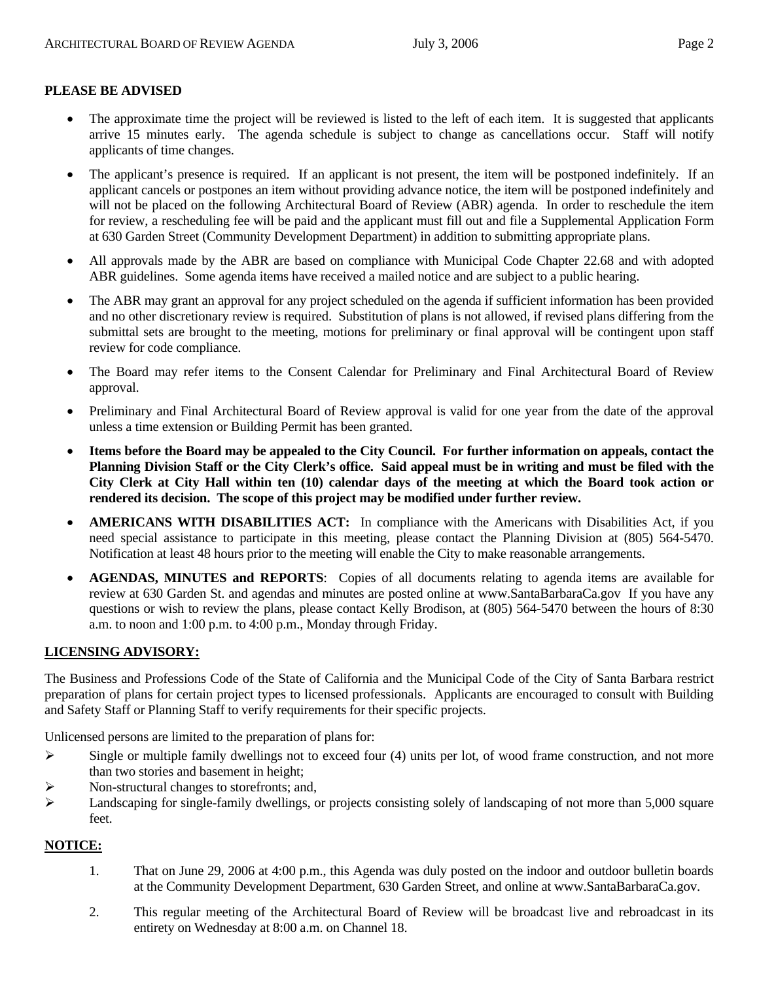## **PLEASE BE ADVISED**

- The approximate time the project will be reviewed is listed to the left of each item. It is suggested that applicants arrive 15 minutes early. The agenda schedule is subject to change as cancellations occur. Staff will notify applicants of time changes.
- The applicant's presence is required. If an applicant is not present, the item will be postponed indefinitely. If an applicant cancels or postpones an item without providing advance notice, the item will be postponed indefinitely and will not be placed on the following Architectural Board of Review (ABR) agenda. In order to reschedule the item for review, a rescheduling fee will be paid and the applicant must fill out and file a Supplemental Application Form at 630 Garden Street (Community Development Department) in addition to submitting appropriate plans.
- All approvals made by the ABR are based on compliance with Municipal Code Chapter 22.68 and with adopted ABR guidelines. Some agenda items have received a mailed notice and are subject to a public hearing.
- The ABR may grant an approval for any project scheduled on the agenda if sufficient information has been provided and no other discretionary review is required. Substitution of plans is not allowed, if revised plans differing from the submittal sets are brought to the meeting, motions for preliminary or final approval will be contingent upon staff review for code compliance.
- The Board may refer items to the Consent Calendar for Preliminary and Final Architectural Board of Review approval.
- Preliminary and Final Architectural Board of Review approval is valid for one year from the date of the approval unless a time extension or Building Permit has been granted.
- **Items before the Board may be appealed to the City Council. For further information on appeals, contact the Planning Division Staff or the City Clerk's office. Said appeal must be in writing and must be filed with the City Clerk at City Hall within ten (10) calendar days of the meeting at which the Board took action or rendered its decision. The scope of this project may be modified under further review.**
- **AMERICANS WITH DISABILITIES ACT:** In compliance with the Americans with Disabilities Act, if you need special assistance to participate in this meeting, please contact the Planning Division at (805) 564-5470. Notification at least 48 hours prior to the meeting will enable the City to make reasonable arrangements.
- **AGENDAS, MINUTES and REPORTS**: Copies of all documents relating to agenda items are available for review at 630 Garden St. and agendas and minutes are posted online at [www.SantaBarbaraCa.gov](http://www.santabarbaraca.gov/) If you have any questions or wish to review the plans, please contact Kelly Brodison, at (805) 564-5470 between the hours of 8:30 a.m. to noon and 1:00 p.m. to 4:00 p.m., Monday through Friday.

## **LICENSING ADVISORY:**

The Business and Professions Code of the State of California and the Municipal Code of the City of Santa Barbara restrict preparation of plans for certain project types to licensed professionals. Applicants are encouraged to consult with Building and Safety Staff or Planning Staff to verify requirements for their specific projects.

Unlicensed persons are limited to the preparation of plans for:

- $\triangleright$  Single or multiple family dwellings not to exceed four (4) units per lot, of wood frame construction, and not more than two stories and basement in height;
- ¾ Non-structural changes to storefronts; and,
- $\blacktriangleright$  Landscaping for single-family dwellings, or projects consisting solely of landscaping of not more than 5,000 square feet.

## **NOTICE:**

- 1. That on June 29, 2006 at 4:00 p.m., this Agenda was duly posted on the indoor and outdoor bulletin boards at the Community Development Department, 630 Garden Street, and online at www.SantaBarbaraCa.gov.
- 2. This regular meeting of the Architectural Board of Review will be broadcast live and rebroadcast in its entirety on Wednesday at 8:00 a.m. on Channel 18.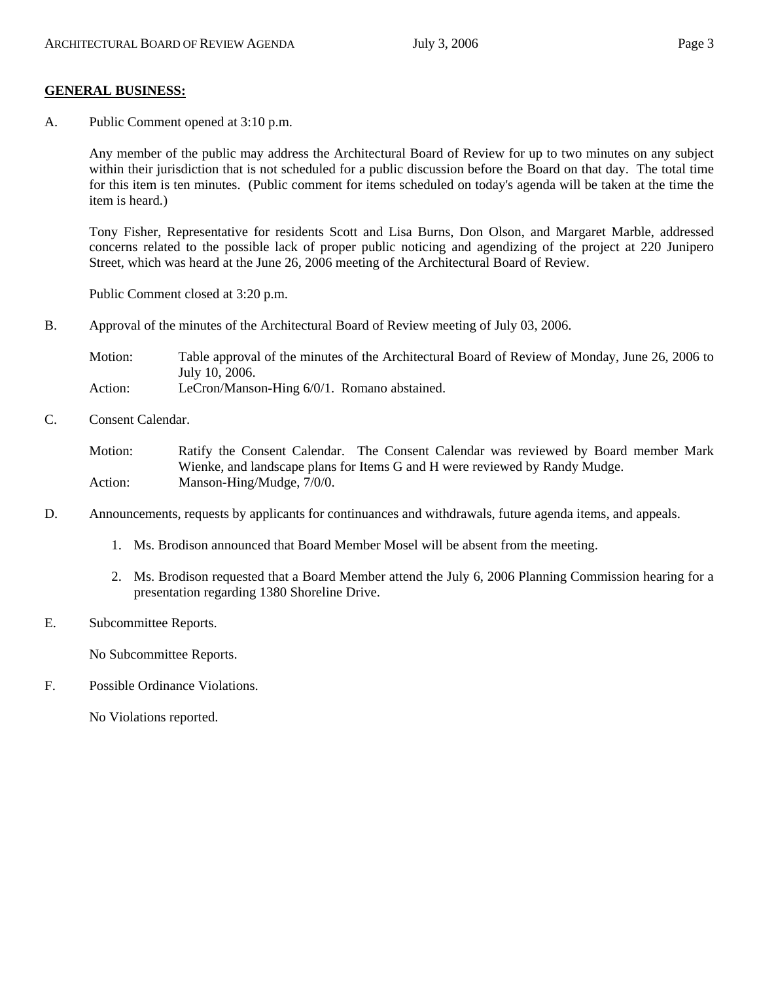#### **GENERAL BUSINESS:**

A. Public Comment opened at 3:10 p.m.

Any member of the public may address the Architectural Board of Review for up to two minutes on any subject within their jurisdiction that is not scheduled for a public discussion before the Board on that day. The total time for this item is ten minutes. (Public comment for items scheduled on today's agenda will be taken at the time the item is heard.)

Tony Fisher, Representative for residents Scott and Lisa Burns, Don Olson, and Margaret Marble, addressed concerns related to the possible lack of proper public noticing and agendizing of the project at 220 Junipero Street, which was heard at the June 26, 2006 meeting of the Architectural Board of Review.

Public Comment closed at 3:20 p.m.

B. Approval of the minutes of the Architectural Board of Review meeting of July 03, 2006.

Motion: Table approval of the minutes of the Architectural Board of Review of Monday, June 26, 2006 to July 10, 2006. Action: LeCron/Manson-Hing 6/0/1. Romano abstained.

C. Consent Calendar.

Motion: Ratify the Consent Calendar. The Consent Calendar was reviewed by Board member Mark Wienke, and landscape plans for Items G and H were reviewed by Randy Mudge. Action: Manson-Hing/Mudge,  $7/0/0$ .

- D. Announcements, requests by applicants for continuances and withdrawals, future agenda items, and appeals.
	- 1. Ms. Brodison announced that Board Member Mosel will be absent from the meeting.
	- 2. Ms. Brodison requested that a Board Member attend the July 6, 2006 Planning Commission hearing for a presentation regarding 1380 Shoreline Drive.
- E. Subcommittee Reports.

No Subcommittee Reports.

F. Possible Ordinance Violations.

No Violations reported.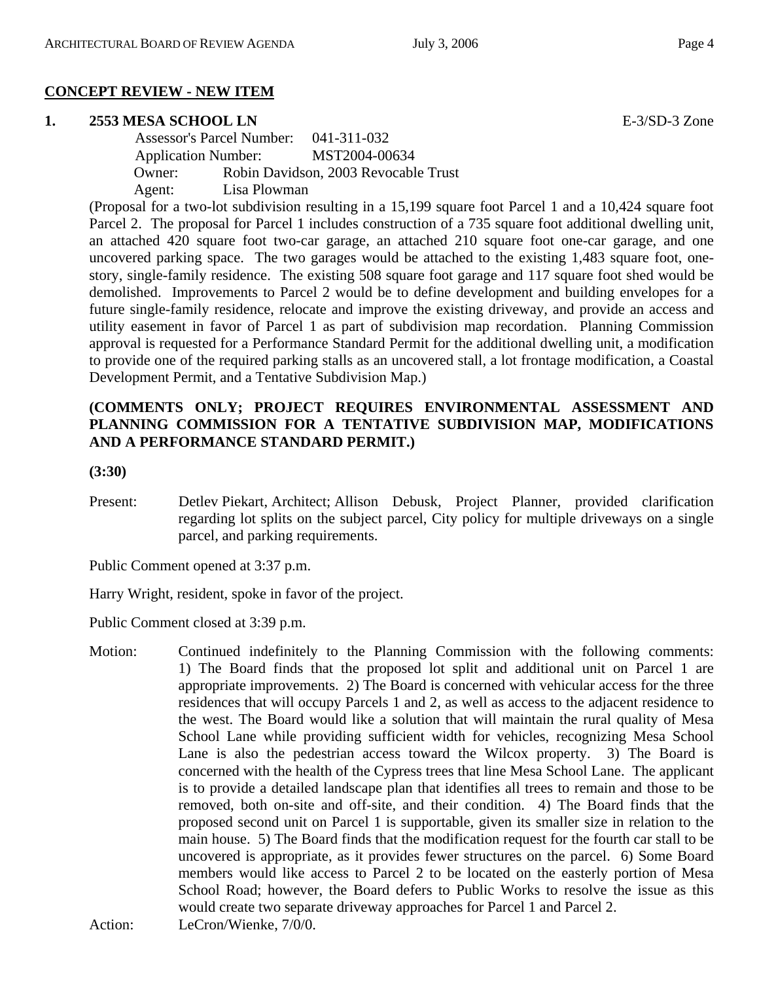## **CONCEPT REVIEW - NEW ITEM**

## **1. 2553 MESA SCHOOL LN** E-3/SD-3 Zone

 Assessor's Parcel Number: 041-311-032 Application Number: MST2004-00634 Owner: Robin Davidson, 2003 Revocable Trust Agent: Lisa Plowman

(Proposal for a two-lot subdivision resulting in a 15,199 square foot Parcel 1 and a 10,424 square foot Parcel 2. The proposal for Parcel 1 includes construction of a 735 square foot additional dwelling unit, an attached 420 square foot two-car garage, an attached 210 square foot one-car garage, and one uncovered parking space. The two garages would be attached to the existing 1,483 square foot, onestory, single-family residence. The existing 508 square foot garage and 117 square foot shed would be demolished. Improvements to Parcel 2 would be to define development and building envelopes for a future single-family residence, relocate and improve the existing driveway, and provide an access and utility easement in favor of Parcel 1 as part of subdivision map recordation. Planning Commission approval is requested for a Performance Standard Permit for the additional dwelling unit, a modification to provide one of the required parking stalls as an uncovered stall, a lot frontage modification, a Coastal Development Permit, and a Tentative Subdivision Map.)

## **(COMMENTS ONLY; PROJECT REQUIRES ENVIRONMENTAL ASSESSMENT AND PLANNING COMMISSION FOR A TENTATIVE SUBDIVISION MAP, MODIFICATIONS AND A PERFORMANCE STANDARD PERMIT.)**

#### **(3:30)**

Present: Detlev Piekart, Architect; Allison Debusk, Project Planner, provided clarification regarding lot splits on the subject parcel, City policy for multiple driveways on a single parcel, and parking requirements.

Public Comment opened at 3:37 p.m.

Harry Wright, resident, spoke in favor of the project.

Public Comment closed at 3:39 p.m.

Motion: Continued indefinitely to the Planning Commission with the following comments: 1) The Board finds that the proposed lot split and additional unit on Parcel 1 are appropriate improvements. 2) The Board is concerned with vehicular access for the three residences that will occupy Parcels 1 and 2, as well as access to the adjacent residence to the west. The Board would like a solution that will maintain the rural quality of Mesa School Lane while providing sufficient width for vehicles, recognizing Mesa School Lane is also the pedestrian access toward the Wilcox property. 3) The Board is concerned with the health of the Cypress trees that line Mesa School Lane. The applicant is to provide a detailed landscape plan that identifies all trees to remain and those to be removed, both on-site and off-site, and their condition. 4) The Board finds that the proposed second unit on Parcel 1 is supportable, given its smaller size in relation to the main house. 5) The Board finds that the modification request for the fourth car stall to be uncovered is appropriate, as it provides fewer structures on the parcel. 6) Some Board members would like access to Parcel 2 to be located on the easterly portion of Mesa School Road; however, the Board defers to Public Works to resolve the issue as this would create two separate driveway approaches for Parcel 1 and Parcel 2. Action: LeCron/Wienke,  $7/0/0$ .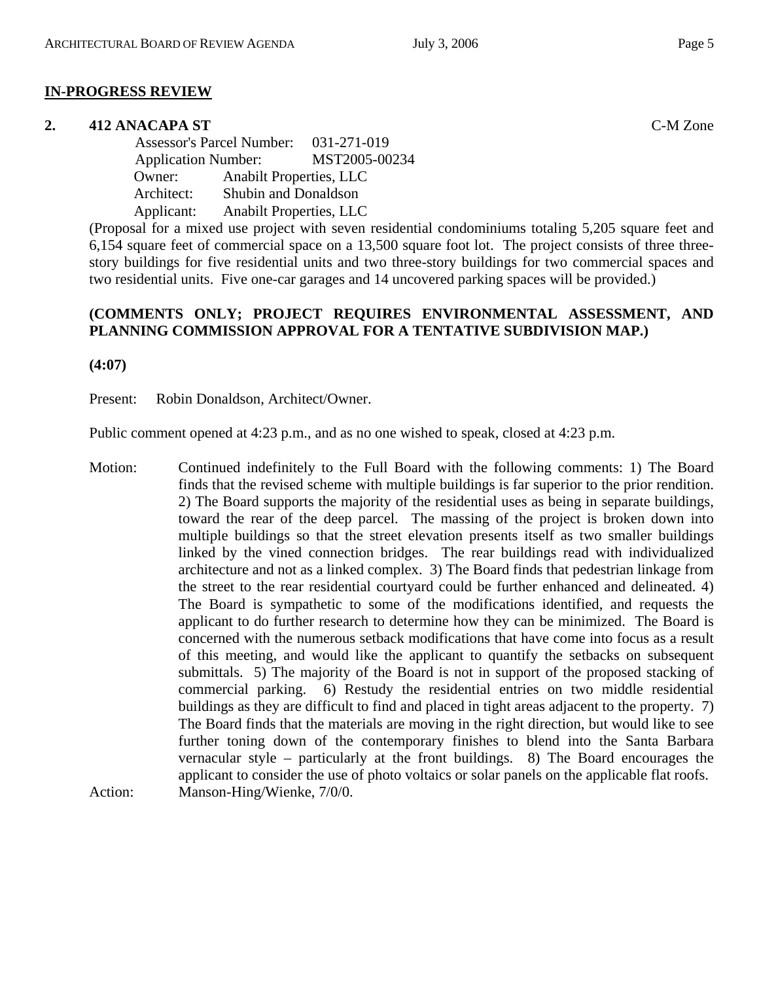#### **IN-PROGRESS REVIEW**

#### **2. 412 ANACAPA ST** C-M Zone

 Assessor's Parcel Number: 031-271-019 Application Number: MST2005-00234 Owner: Anabilt Properties, LLC Architect: Shubin and Donaldson Applicant: Anabilt Properties, LLC

(Proposal for a mixed use project with seven residential condominiums totaling 5,205 square feet and 6,154 square feet of commercial space on a 13,500 square foot lot. The project consists of three threestory buildings for five residential units and two three-story buildings for two commercial spaces and two residential units. Five one-car garages and 14 uncovered parking spaces will be provided.)

## **(COMMENTS ONLY; PROJECT REQUIRES ENVIRONMENTAL ASSESSMENT, AND PLANNING COMMISSION APPROVAL FOR A TENTATIVE SUBDIVISION MAP.)**

**(4:07)** 

Present: Robin Donaldson, Architect/Owner.

Public comment opened at 4:23 p.m., and as no one wished to speak, closed at 4:23 p.m.

Motion: Continued indefinitely to the Full Board with the following comments: 1) The Board finds that the revised scheme with multiple buildings is far superior to the prior rendition. 2) The Board supports the majority of the residential uses as being in separate buildings, toward the rear of the deep parcel. The massing of the project is broken down into multiple buildings so that the street elevation presents itself as two smaller buildings linked by the vined connection bridges. The rear buildings read with individualized architecture and not as a linked complex. 3) The Board finds that pedestrian linkage from the street to the rear residential courtyard could be further enhanced and delineated. 4) The Board is sympathetic to some of the modifications identified, and requests the applicant to do further research to determine how they can be minimized. The Board is concerned with the numerous setback modifications that have come into focus as a result of this meeting, and would like the applicant to quantify the setbacks on subsequent submittals. 5) The majority of the Board is not in support of the proposed stacking of commercial parking. 6) Restudy the residential entries on two middle residential buildings as they are difficult to find and placed in tight areas adjacent to the property. 7) The Board finds that the materials are moving in the right direction, but would like to see further toning down of the contemporary finishes to blend into the Santa Barbara vernacular style – particularly at the front buildings. 8) The Board encourages the applicant to consider the use of photo voltaics or solar panels on the applicable flat roofs. Action: Manson-Hing/Wienke, 7/0/0.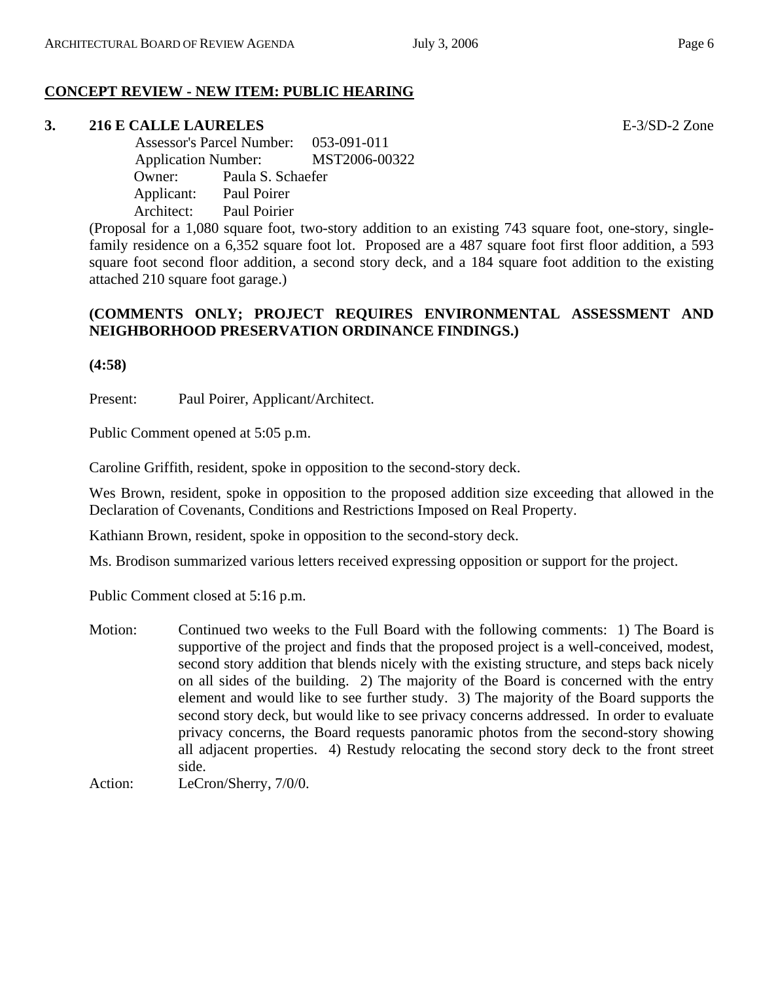## **CONCEPT REVIEW - NEW ITEM: PUBLIC HEARING**

## **3. 216 E CALLE LAURELES** E-3/SD-2 Zone

 Assessor's Parcel Number: 053-091-011 Application Number: MST2006-00322 Owner: Paula S. Schaefer Applicant: Paul Poirer Architect: Paul Poirier

(Proposal for a 1,080 square foot, two-story addition to an existing 743 square foot, one-story, singlefamily residence on a 6,352 square foot lot. Proposed are a 487 square foot first floor addition, a 593 square foot second floor addition, a second story deck, and a 184 square foot addition to the existing attached 210 square foot garage.)

## **(COMMENTS ONLY; PROJECT REQUIRES ENVIRONMENTAL ASSESSMENT AND NEIGHBORHOOD PRESERVATION ORDINANCE FINDINGS.)**

**(4:58)**

Present: Paul Poirer, Applicant/Architect.

Public Comment opened at 5:05 p.m.

Caroline Griffith, resident, spoke in opposition to the second-story deck.

Wes Brown, resident, spoke in opposition to the proposed addition size exceeding that allowed in the Declaration of Covenants, Conditions and Restrictions Imposed on Real Property.

Kathiann Brown, resident, spoke in opposition to the second-story deck.

Ms. Brodison summarized various letters received expressing opposition or support for the project.

Public Comment closed at 5:16 p.m.

 Motion: Continued two weeks to the Full Board with the following comments: 1) The Board is supportive of the project and finds that the proposed project is a well-conceived, modest, second story addition that blends nicely with the existing structure, and steps back nicely on all sides of the building. 2) The majority of the Board is concerned with the entry element and would like to see further study. 3) The majority of the Board supports the second story deck, but would like to see privacy concerns addressed. In order to evaluate privacy concerns, the Board requests panoramic photos from the second-story showing all adjacent properties. 4) Restudy relocating the second story deck to the front street side.

Action: LeCron/Sherry,  $7/0/0$ .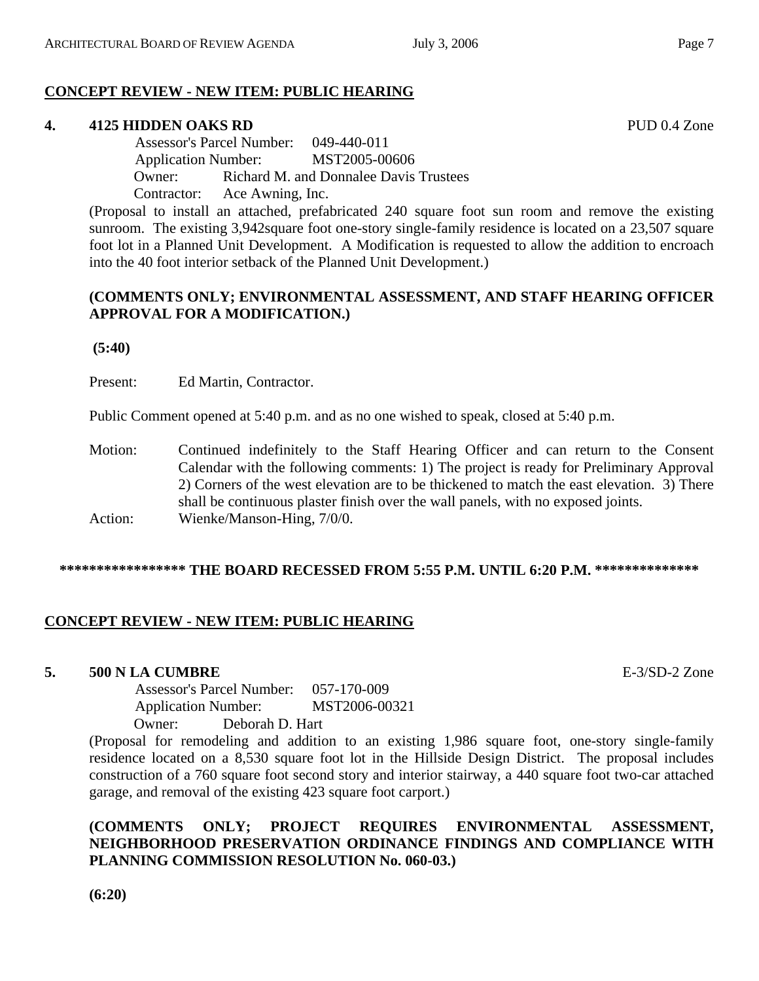## **CONCEPT REVIEW - NEW ITEM: PUBLIC HEARING**

## **4. 4125 HIDDEN OAKS RD** PUD 0.4 Zone

 Assessor's Parcel Number: 049-440-011 Application Number: MST2005-00606 Owner: Richard M. and Donnalee Davis Trustees Contractor: Ace Awning, Inc.

(Proposal to install an attached, prefabricated 240 square foot sun room and remove the existing sunroom. The existing 3,942 square foot one-story single-family residence is located on a 23,507 square foot lot in a Planned Unit Development. A Modification is requested to allow the addition to encroach into the 40 foot interior setback of the Planned Unit Development.)

## **(COMMENTS ONLY; ENVIRONMENTAL ASSESSMENT, AND STAFF HEARING OFFICER APPROVAL FOR A MODIFICATION.)**

 **(5:40)**

Present: Ed Martin, Contractor.

Public Comment opened at 5:40 p.m. and as no one wished to speak, closed at 5:40 p.m.

Motion: Continued indefinitely to the Staff Hearing Officer and can return to the Consent Calendar with the following comments: 1) The project is ready for Preliminary Approval 2) Corners of the west elevation are to be thickened to match the east elevation. 3) There shall be continuous plaster finish over the wall panels, with no exposed joints. Action: Wienke/Manson-Hing,  $7/0/0$ .

## **\*\*\*\*\*\*\*\*\*\*\*\*\*\*\*\*\* THE BOARD RECESSED FROM 5:55 P.M. UNTIL 6:20 P.M. \*\*\*\*\*\*\*\*\*\*\*\*\*\***

## **CONCEPT REVIEW - NEW ITEM: PUBLIC HEARING**

## **5. 500 N LA CUMBRE** E-3/SD-2 Zone

 Assessor's Parcel Number: 057-170-009 Application Number: MST2006-00321 Owner: Deborah D. Hart

(Proposal for remodeling and addition to an existing 1,986 square foot, one-story single-family residence located on a 8,530 square foot lot in the Hillside Design District. The proposal includes construction of a 760 square foot second story and interior stairway, a 440 square foot two-car attached garage, and removal of the existing 423 square foot carport.)

## **(COMMENTS ONLY; PROJECT REQUIRES ENVIRONMENTAL ASSESSMENT, NEIGHBORHOOD PRESERVATION ORDINANCE FINDINGS AND COMPLIANCE WITH PLANNING COMMISSION RESOLUTION No. 060-03.)**

**(6:20)**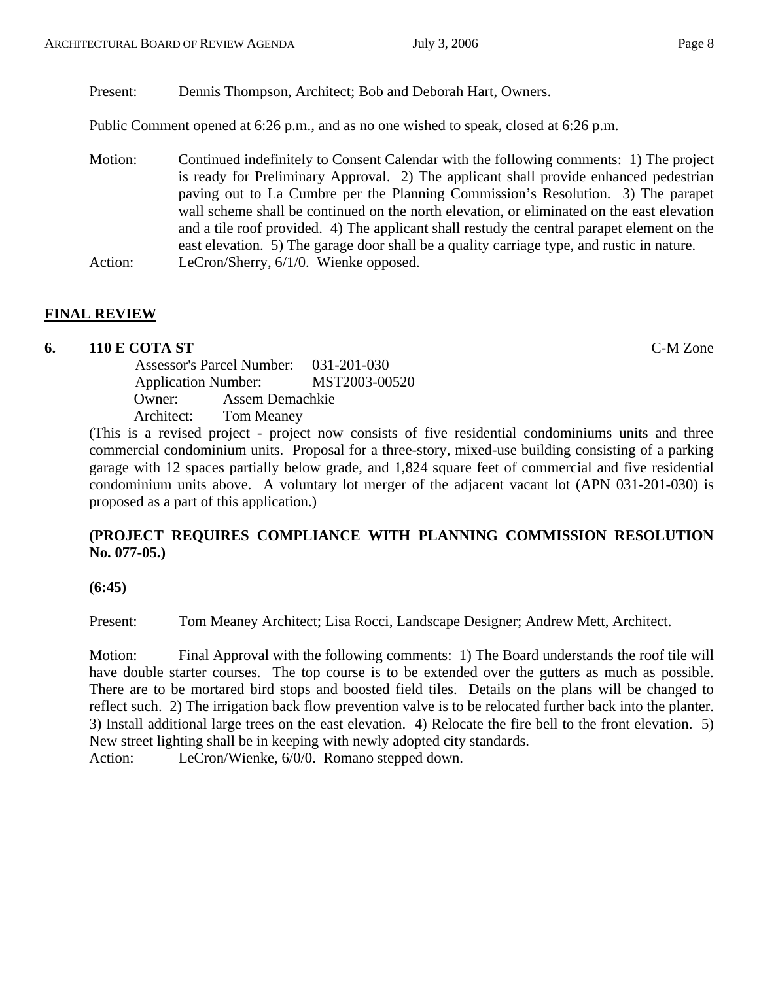Present: Dennis Thompson, Architect; Bob and Deborah Hart, Owners.

Public Comment opened at 6:26 p.m., and as no one wished to speak, closed at 6:26 p.m.

 Motion: Continued indefinitely to Consent Calendar with the following comments: 1) The project is ready for Preliminary Approval. 2) The applicant shall provide enhanced pedestrian paving out to La Cumbre per the Planning Commission's Resolution. 3) The parapet wall scheme shall be continued on the north elevation, or eliminated on the east elevation and a tile roof provided. 4) The applicant shall restudy the central parapet element on the east elevation. 5) The garage door shall be a quality carriage type, and rustic in nature. Action: LeCron/Sherry, 6/1/0. Wienke opposed.

## **FINAL REVIEW**

## **6. 110 E COTA ST** C-M Zone

 Assessor's Parcel Number: 031-201-030 Application Number: MST2003-00520 Owner: Assem Demachkie Architect: Tom Meaney

(This is a revised project - project now consists of five residential condominiums units and three commercial condominium units. Proposal for a three-story, mixed-use building consisting of a parking garage with 12 spaces partially below grade, and 1,824 square feet of commercial and five residential condominium units above. A voluntary lot merger of the adjacent vacant lot (APN 031-201-030) is proposed as a part of this application.)

## **(PROJECT REQUIRES COMPLIANCE WITH PLANNING COMMISSION RESOLUTION No. 077-05.)**

**(6:45)**

Present: Tom Meaney Architect; Lisa Rocci, Landscape Designer; Andrew Mett, Architect.

Motion: Final Approval with the following comments: 1) The Board understands the roof tile will have double starter courses. The top course is to be extended over the gutters as much as possible. There are to be mortared bird stops and boosted field tiles. Details on the plans will be changed to reflect such. 2) The irrigation back flow prevention valve is to be relocated further back into the planter. 3) Install additional large trees on the east elevation. 4) Relocate the fire bell to the front elevation. 5) New street lighting shall be in keeping with newly adopted city standards.

Action: LeCron/Wienke, 6/0/0. Romano stepped down.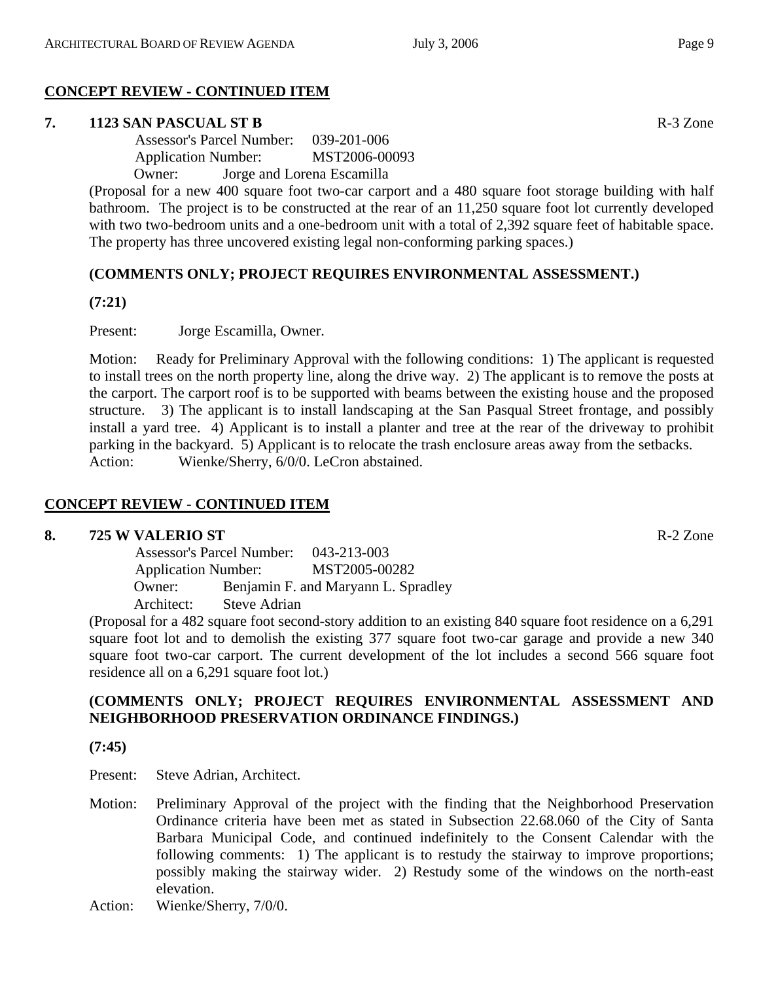## **CONCEPT REVIEW - CONTINUED ITEM**

### **7. 1123 SAN PASCUAL ST B** R-3 Zone

 Assessor's Parcel Number: 039-201-006 Application Number: MST2006-00093 Owner: Jorge and Lorena Escamilla

(Proposal for a new 400 square foot two-car carport and a 480 square foot storage building with half bathroom. The project is to be constructed at the rear of an 11,250 square foot lot currently developed with two two-bedroom units and a one-bedroom unit with a total of 2,392 square feet of habitable space. The property has three uncovered existing legal non-conforming parking spaces.)

## **(COMMENTS ONLY; PROJECT REQUIRES ENVIRONMENTAL ASSESSMENT.)**

**(7:21)**

Present: Jorge Escamilla, Owner.

Motion: Ready for Preliminary Approval with the following conditions: 1) The applicant is requested to install trees on the north property line, along the drive way. 2) The applicant is to remove the posts at the carport. The carport roof is to be supported with beams between the existing house and the proposed structure. 3) The applicant is to install landscaping at the San Pasqual Street frontage, and possibly install a yard tree. 4) Applicant is to install a planter and tree at the rear of the driveway to prohibit parking in the backyard. 5) Applicant is to relocate the trash enclosure areas away from the setbacks. Action: Wienke/Sherry, 6/0/0. LeCron abstained.

## **CONCEPT REVIEW - CONTINUED ITEM**

#### **8. 725 W VALERIO ST** R-2 Zone

 Assessor's Parcel Number: 043-213-003 Application Number: MST2005-00282 Owner: Benjamin F. and Maryann L. Spradley Architect: Steve Adrian

(Proposal for a 482 square foot second-story addition to an existing 840 square foot residence on a 6,291 square foot lot and to demolish the existing 377 square foot two-car garage and provide a new 340 square foot two-car carport. The current development of the lot includes a second 566 square foot residence all on a 6,291 square foot lot.)

## **(COMMENTS ONLY; PROJECT REQUIRES ENVIRONMENTAL ASSESSMENT AND NEIGHBORHOOD PRESERVATION ORDINANCE FINDINGS.)**

**(7:45)**

Present: Steve Adrian, Architect.

- Motion: Preliminary Approval of the project with the finding that the Neighborhood Preservation Ordinance criteria have been met as stated in Subsection 22.68.060 of the City of Santa Barbara Municipal Code, and continued indefinitely to the Consent Calendar with the following comments: 1) The applicant is to restudy the stairway to improve proportions; possibly making the stairway wider. 2) Restudy some of the windows on the north-east elevation.
- Action: Wienke/Sherry, 7/0/0.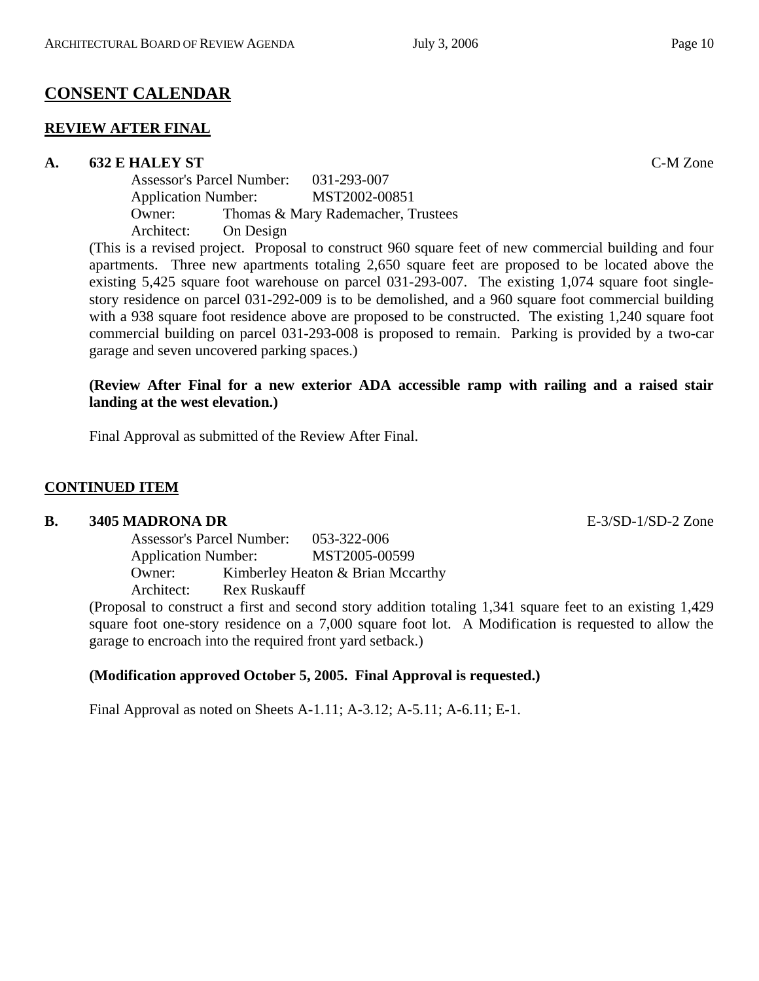## **CONSENT CALENDAR**

#### **REVIEW AFTER FINAL**

#### **A. 632 E HALEY ST** C-M Zone

Assessor's Parcel Number: 031-293-007 Application Number: MST2002-00851 Owner: Thomas & Mary Rademacher, Trustees Architect: On Design

(This is a revised project. Proposal to construct 960 square feet of new commercial building and four apartments. Three new apartments totaling 2,650 square feet are proposed to be located above the existing 5,425 square foot warehouse on parcel 031-293-007. The existing 1,074 square foot singlestory residence on parcel 031-292-009 is to be demolished, and a 960 square foot commercial building with a 938 square foot residence above are proposed to be constructed. The existing 1,240 square foot commercial building on parcel 031-293-008 is proposed to remain. Parking is provided by a two-car garage and seven uncovered parking spaces.)

## **(Review After Final for a new exterior ADA accessible ramp with railing and a raised stair landing at the west elevation.)**

Final Approval as submitted of the Review After Final.

## **CONTINUED ITEM**

#### **B. 3405 MADRONA DR** E-3/SD-1/SD-2 Zone

Assessor's Parcel Number: 053-322-006 Application Number: MST2005-00599 Owner: Kimberley Heaton & Brian Mccarthy Architect: Rex Ruskauff

(Proposal to construct a first and second story addition totaling 1,341 square feet to an existing 1,429 square foot one-story residence on a 7,000 square foot lot. A Modification is requested to allow the garage to encroach into the required front yard setback.)

## **(Modification approved October 5, 2005. Final Approval is requested.)**

Final Approval as noted on Sheets A-1.11; A-3.12; A-5.11; A-6.11; E-1.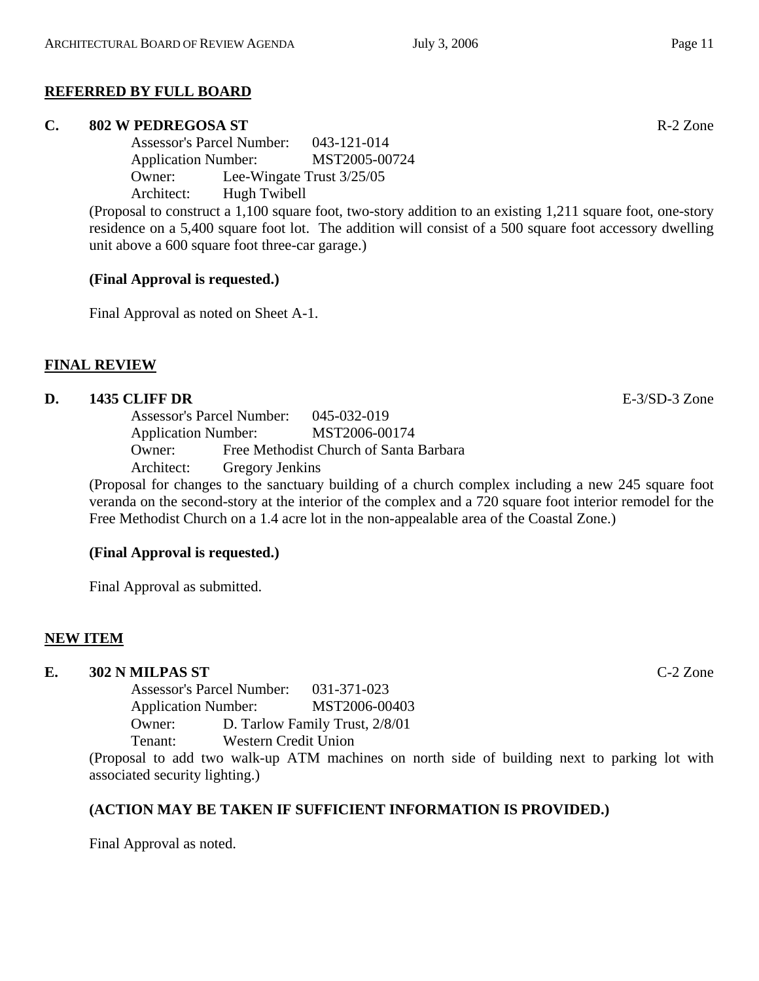## **REFERRED BY FULL BOARD**

## **C. 802 W PEDREGOSA ST** R-2 Zone

Assessor's Parcel Number: 043-121-014 Application Number: MST2005-00724 Owner: Lee-Wingate Trust 3/25/05 Architect: Hugh Twibell

(Proposal to construct a 1,100 square foot, two-story addition to an existing 1,211 square foot, one-story residence on a 5,400 square foot lot. The addition will consist of a 500 square foot accessory dwelling unit above a 600 square foot three-car garage.)

## **(Final Approval is requested.)**

Final Approval as noted on Sheet A-1.

## **FINAL REVIEW**

#### **D. 1435 CLIFF DR** E-3/SD-3 Zone

Assessor's Parcel Number: 045-032-019 Application Number: MST2006-00174 Owner: Free Methodist Church of Santa Barbara Architect: Gregory Jenkins

(Proposal for changes to the sanctuary building of a church complex including a new 245 square foot veranda on the second-story at the interior of the complex and a 720 square foot interior remodel for the Free Methodist Church on a 1.4 acre lot in the non-appealable area of the Coastal Zone.)

## **(Final Approval is requested.)**

Final Approval as submitted.

## **NEW ITEM**

## **E. 302 N MILPAS ST** C-2 Zone

Assessor's Parcel Number: 031-371-023 Application Number: MST2006-00403 Owner: D. Tarlow Family Trust, 2/8/01 Tenant: Western Credit Union

(Proposal to add two walk-up ATM machines on north side of building next to parking lot with associated security lighting.)

#### **(ACTION MAY BE TAKEN IF SUFFICIENT INFORMATION IS PROVIDED.)**

Final Approval as noted.